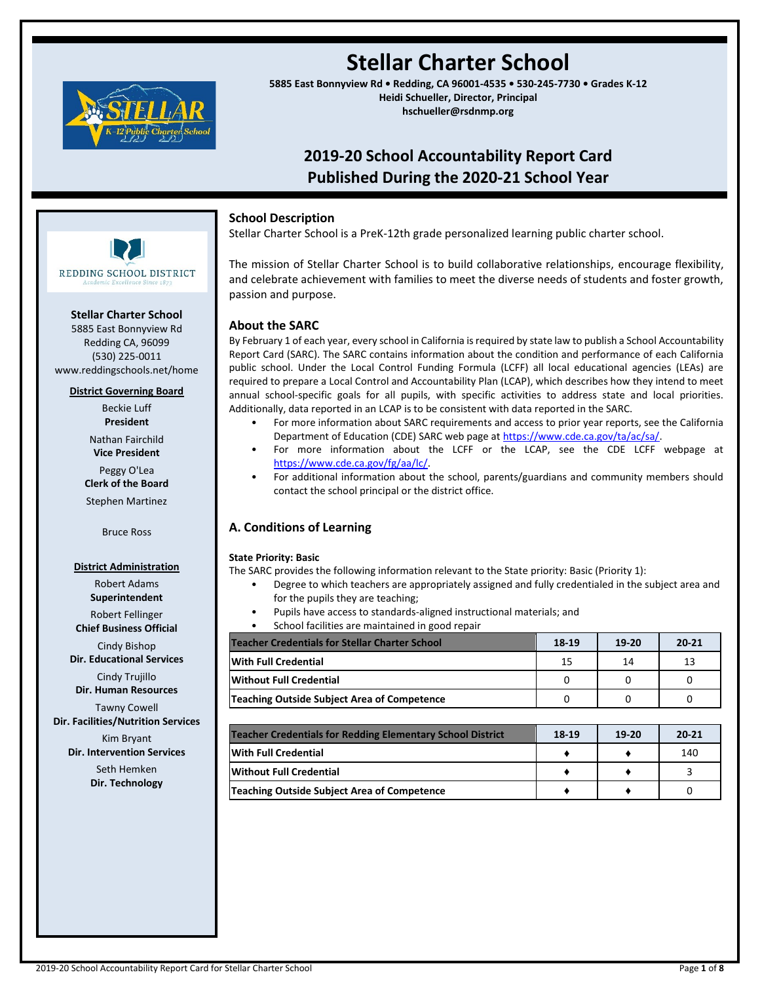

# **Stellar Charter School**

**5885 East Bonnyview Rd • Redding, CA 96001-4535 • 530-245-7730 • Grades K-12 Heidi Schueller, Director, Principal hschueller@rsdnmp.org**

## **2019-20 School Accountability Report Card Published During the 2020-21 School Year**

## **School Description**

Stellar Charter School is a PreK-12th grade personalized learning public charter school.

The mission of Stellar Charter School is to build collaborative relationships, encourage flexibility, and celebrate achievement with families to meet the diverse needs of students and foster growth, passion and purpose.

## **About the SARC**

By February 1 of each year, every school in California is required by state law to publish a School Accountability Report Card (SARC). The SARC contains information about the condition and performance of each California public school. Under the Local Control Funding Formula (LCFF) all local educational agencies (LEAs) are required to prepare a Local Control and Accountability Plan (LCAP), which describes how they intend to meet annual school-specific goals for all pupils, with specific activities to address state and local priorities. Additionally, data reported in an LCAP is to be consistent with data reported in the SARC.

- For more information about SARC requirements and access to prior year reports, see the California Department of Education (CDE) SARC web page a[t https://www.cde.ca.gov/ta/ac/sa/.](https://www.cde.ca.gov/ta/ac/sa/)
- For more information about the LCFF or the LCAP, see the CDE LCFF webpage at [https://www.cde.ca.gov/fg/aa/lc/.](https://www.cde.ca.gov/fg/aa/lc/)
- For additional information about the school, parents/guardians and community members should contact the school principal or the district office.

## **A. Conditions of Learning**

#### **State Priority: Basic**

The SARC provides the following information relevant to the State priority: Basic (Priority 1):

- Degree to which teachers are appropriately assigned and fully credentialed in the subject area and for the pupils they are teaching;
	- Pupils have access to standards-aligned instructional materials; and
	- School facilities are maintained in good repair

| <b>Teacher Credentials for Stellar Charter School</b> | 18-19 | $19-20$ | $20 - 21$ |
|-------------------------------------------------------|-------|---------|-----------|
| With Full Credential                                  | 15    | 14      | 13        |
| <b>IWithout Full Credential</b>                       |       |         |           |
| Teaching Outside Subject Area of Competence           |       |         |           |

| Teacher Credentials for Redding Elementary School District |  | $19-20$ | $20 - 21$ |
|------------------------------------------------------------|--|---------|-----------|
| With Full Credential                                       |  |         | 140       |
| lWithout Full Credential                                   |  |         |           |
| <b>Teaching Outside Subject Area of Competence</b>         |  |         |           |

**Stellar Charter School**

REDDING SCHOOL DISTRICT

5885 East Bonnyview Rd Redding CA, 96099 (530) 225-0011 www.reddingschools.net/home

#### **District Governing Board**

Beckie Luff **President**

Nathan Fairchild **Vice President**

Peggy O'Lea **Clerk of the Board** Stephen Martinez

Bruce Ross

#### **District Administration**

Robert Adams **Superintendent**

Robert Fellinger **Chief Business Official**

Cindy Bishop **Dir. Educational Services**

Cindy Trujillo **Dir. Human Resources**

Tawny Cowell

**Dir. Facilities/Nutrition Services**

Kim Bryant **Dir. Intervention Services**

> Seth Hemken **Dir. Technology**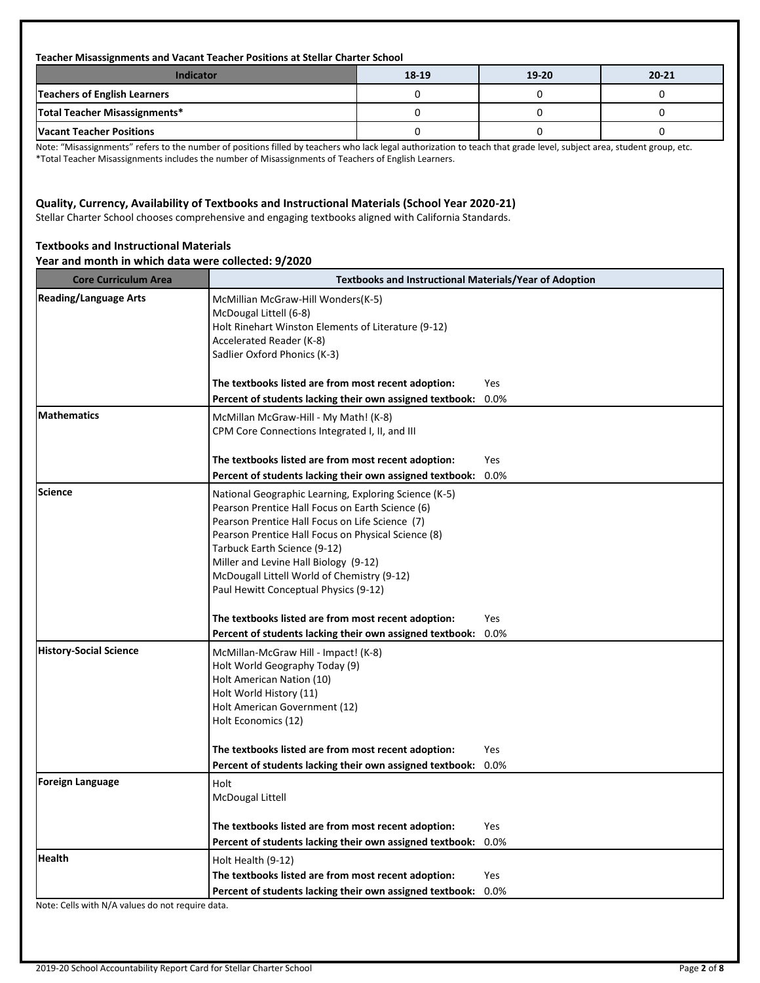#### **Teacher Misassignments and Vacant Teacher Positions at Stellar Charter School**

| <b>Indicator</b>                | 18-19 | 19-20 | $20 - 21$ |
|---------------------------------|-------|-------|-----------|
| Teachers of English Learners    |       |       |           |
| Total Teacher Misassignments*   |       |       |           |
| <b>Vacant Teacher Positions</b> |       |       |           |

Note: "Misassignments" refers to the number of positions filled by teachers who lack legal authorization to teach that grade level, subject area, student group, etc. \*Total Teacher Misassignments includes the number of Misassignments of Teachers of English Learners.

## **Quality, Currency, Availability of Textbooks and Instructional Materials (School Year 2020-21)**

Stellar Charter School chooses comprehensive and engaging textbooks aligned with California Standards.

## **Textbooks and Instructional Materials**

## **Year and month in which data were collected: 9/2020**

| <b>Core Curriculum Area</b>   | <b>Textbooks and Instructional Materials/Year of Adoption</b>                                                                                                                                                                                                                                                                                                                        |      |
|-------------------------------|--------------------------------------------------------------------------------------------------------------------------------------------------------------------------------------------------------------------------------------------------------------------------------------------------------------------------------------------------------------------------------------|------|
| <b>Reading/Language Arts</b>  | McMillian McGraw-Hill Wonders(K-5)<br>McDougal Littell (6-8)<br>Holt Rinehart Winston Elements of Literature (9-12)<br>Accelerated Reader (K-8)<br>Sadlier Oxford Phonics (K-3)                                                                                                                                                                                                      | Yes  |
|                               | The textbooks listed are from most recent adoption:<br>Percent of students lacking their own assigned textbook:                                                                                                                                                                                                                                                                      | 0.0% |
| <b>Mathematics</b>            | McMillan McGraw-Hill - My Math! (K-8)<br>CPM Core Connections Integrated I, II, and III                                                                                                                                                                                                                                                                                              |      |
|                               | The textbooks listed are from most recent adoption:                                                                                                                                                                                                                                                                                                                                  | Yes  |
|                               | Percent of students lacking their own assigned textbook:                                                                                                                                                                                                                                                                                                                             | 0.0% |
| <b>Science</b>                | National Geographic Learning, Exploring Science (K-5)<br>Pearson Prentice Hall Focus on Earth Science (6)<br>Pearson Prentice Hall Focus on Life Science (7)<br>Pearson Prentice Hall Focus on Physical Science (8)<br>Tarbuck Earth Science (9-12)<br>Miller and Levine Hall Biology (9-12)<br>McDougall Littell World of Chemistry (9-12)<br>Paul Hewitt Conceptual Physics (9-12) |      |
|                               | The textbooks listed are from most recent adoption:                                                                                                                                                                                                                                                                                                                                  | Yes  |
|                               | Percent of students lacking their own assigned textbook:                                                                                                                                                                                                                                                                                                                             | 0.0% |
| <b>History-Social Science</b> | McMillan-McGraw Hill - Impact! (K-8)<br>Holt World Geography Today (9)<br>Holt American Nation (10)<br>Holt World History (11)<br>Holt American Government (12)<br>Holt Economics (12)                                                                                                                                                                                               |      |
|                               | The textbooks listed are from most recent adoption:                                                                                                                                                                                                                                                                                                                                  | Yes  |
|                               | Percent of students lacking their own assigned textbook:                                                                                                                                                                                                                                                                                                                             | 0.0% |
| <b>Foreign Language</b>       | Holt<br>McDougal Littell                                                                                                                                                                                                                                                                                                                                                             |      |
|                               | The textbooks listed are from most recent adoption:                                                                                                                                                                                                                                                                                                                                  | Yes  |
|                               | Percent of students lacking their own assigned textbook:                                                                                                                                                                                                                                                                                                                             | 0.0% |
| <b>Health</b>                 | Holt Health (9-12)                                                                                                                                                                                                                                                                                                                                                                   |      |
|                               | The textbooks listed are from most recent adoption:                                                                                                                                                                                                                                                                                                                                  | Yes  |
|                               | Percent of students lacking their own assigned textbook:                                                                                                                                                                                                                                                                                                                             | 0.0% |

Note: Cells with N/A values do not require data.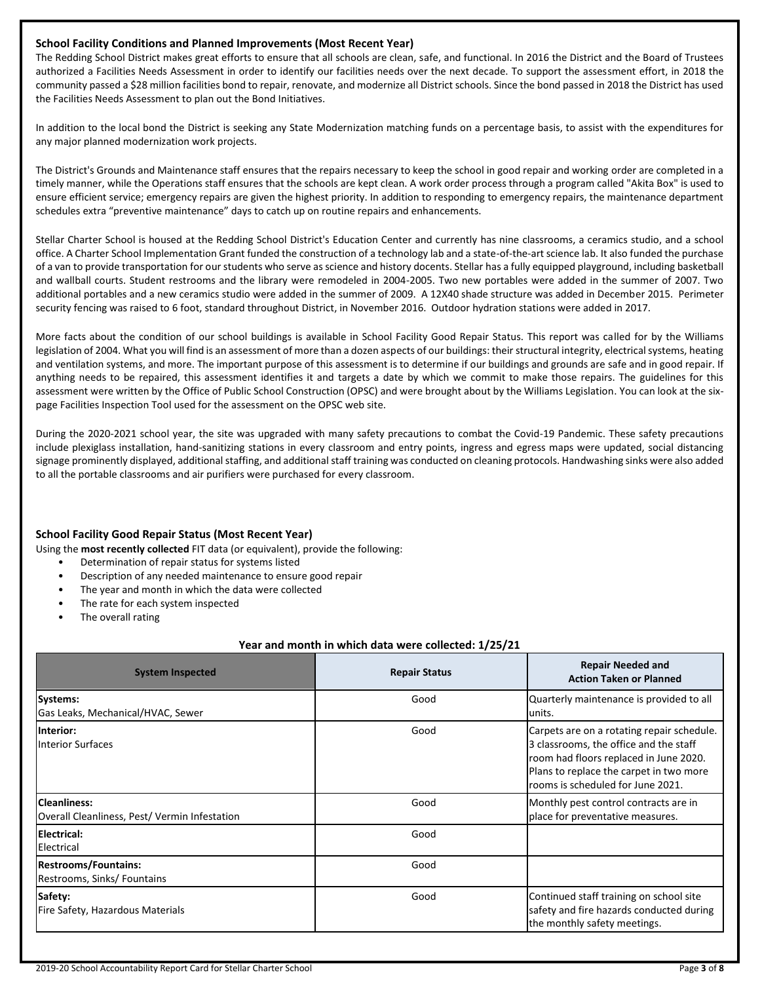### **School Facility Conditions and Planned Improvements (Most Recent Year)**

The Redding School District makes great efforts to ensure that all schools are clean, safe, and functional. In 2016 the District and the Board of Trustees authorized a Facilities Needs Assessment in order to identify our facilities needs over the next decade. To support the assessment effort, in 2018 the community passed a \$28 million facilities bond to repair, renovate, and modernize all District schools. Since the bond passed in 2018 the District has used the Facilities Needs Assessment to plan out the Bond Initiatives.

In addition to the local bond the District is seeking any State Modernization matching funds on a percentage basis, to assist with the expenditures for any major planned modernization work projects.

The District's Grounds and Maintenance staff ensures that the repairs necessary to keep the school in good repair and working order are completed in a timely manner, while the Operations staff ensures that the schools are kept clean. A work order process through a program called "Akita Box" is used to ensure efficient service; emergency repairs are given the highest priority. In addition to responding to emergency repairs, the maintenance department schedules extra "preventive maintenance" days to catch up on routine repairs and enhancements.

Stellar Charter School is housed at the Redding School District's Education Center and currently has nine classrooms, a ceramics studio, and a school office. A Charter School Implementation Grant funded the construction of a technology lab and a state-of-the-art science lab. It also funded the purchase of a van to provide transportation for our students who serve as science and history docents. Stellar has a fully equipped playground, including basketball and wallball courts. Student restrooms and the library were remodeled in 2004-2005. Two new portables were added in the summer of 2007. Two additional portables and a new ceramics studio were added in the summer of 2009. A 12X40 shade structure was added in December 2015. Perimeter security fencing was raised to 6 foot, standard throughout District, in November 2016. Outdoor hydration stations were added in 2017.

More facts about the condition of our school buildings is available in School Facility Good Repair Status. This report was called for by the Williams legislation of 2004. What you will find is an assessment of more than a dozen aspects of our buildings: their structural integrity, electrical systems, heating and ventilation systems, and more. The important purpose of this assessment is to determine if our buildings and grounds are safe and in good repair. If anything needs to be repaired, this assessment identifies it and targets a date by which we commit to make those repairs. The guidelines for this assessment were written by the Office of Public School Construction (OPSC) and were brought about by the Williams Legislation. You can look at the sixpage Facilities Inspection Tool used for the assessment on the OPSC web site.

During the 2020-2021 school year, the site was upgraded with many safety precautions to combat the Covid-19 Pandemic. These safety precautions include plexiglass installation, hand-sanitizing stations in every classroom and entry points, ingress and egress maps were updated, social distancing signage prominently displayed, additional staffing, and additional staff training was conducted on cleaning protocols. Handwashing sinks were also added to all the portable classrooms and air purifiers were purchased for every classroom.

## **School Facility Good Repair Status (Most Recent Year)**

Using the **most recently collected** FIT data (or equivalent), provide the following:

- Determination of repair status for systems listed
- Description of any needed maintenance to ensure good repair
- The year and month in which the data were collected
- The rate for each system inspected
- The overall rating

#### **Year and month in which data were collected: 1/25/21**

| <b>System Inspected</b>                                       | <b>Repair Status</b> | <b>Repair Needed and</b><br><b>Action Taken or Planned</b>                                                                                                                                                     |
|---------------------------------------------------------------|----------------------|----------------------------------------------------------------------------------------------------------------------------------------------------------------------------------------------------------------|
| Systems:<br>Gas Leaks, Mechanical/HVAC, Sewer                 | Good                 | Quarterly maintenance is provided to all<br>units.                                                                                                                                                             |
| <b>Interior:</b><br><b>Interior Surfaces</b>                  | Good                 | Carpets are on a rotating repair schedule.<br>3 classrooms, the office and the staff<br>room had floors replaced in June 2020.<br>Plans to replace the carpet in two more<br>rooms is scheduled for June 2021. |
| Cleanliness:<br>Overall Cleanliness, Pest/ Vermin Infestation | Good                 | Monthly pest control contracts are in<br>place for preventative measures.                                                                                                                                      |
| <b>Electrical:</b><br>Electrical                              | Good                 |                                                                                                                                                                                                                |
| <b>Restrooms/Fountains:</b><br>Restrooms, Sinks/ Fountains    | Good                 |                                                                                                                                                                                                                |
| Safety:<br>Fire Safety, Hazardous Materials                   | Good                 | Continued staff training on school site<br>safety and fire hazards conducted during<br>the monthly safety meetings.                                                                                            |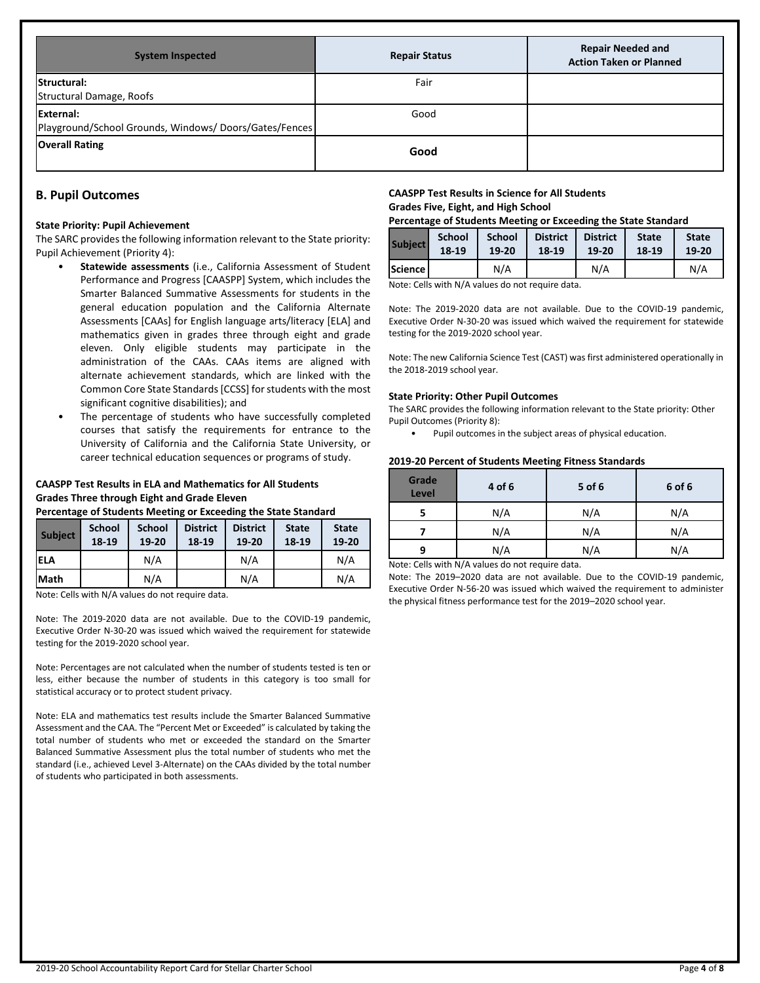| <b>System Inspected</b>                                             | <b>Repair Status</b> | <b>Repair Needed and</b><br><b>Action Taken or Planned</b> |
|---------------------------------------------------------------------|----------------------|------------------------------------------------------------|
| Structural:<br>Structural Damage, Roofs                             | Fair                 |                                                            |
| External:<br>Playground/School Grounds, Windows/ Doors/Gates/Fences | Good                 |                                                            |
| <b>Overall Rating</b>                                               | Good                 |                                                            |

## **B. Pupil Outcomes**

#### **State Priority: Pupil Achievement**

The SARC provides the following information relevant to the State priority: Pupil Achievement (Priority 4):

- **Statewide assessments** (i.e., California Assessment of Student Performance and Progress [CAASPP] System, which includes the Smarter Balanced Summative Assessments for students in the general education population and the California Alternate Assessments [CAAs] for English language arts/literacy [ELA] and mathematics given in grades three through eight and grade eleven. Only eligible students may participate in the administration of the CAAs. CAAs items are aligned with alternate achievement standards, which are linked with the Common Core State Standards [CCSS] for students with the most significant cognitive disabilities); and
- The percentage of students who have successfully completed courses that satisfy the requirements for entrance to the University of California and the California State University, or career technical education sequences or programs of study.

## **CAASPP Test Results in ELA and Mathematics for All Students Grades Three through Eight and Grade Eleven**

#### **Percentage of Students Meeting or Exceeding the State Standard**

| <b>Subject</b> | <b>School</b><br>18-19 | <b>School</b><br>19-20 | <b>District</b><br>18-19 | <b>District</b><br>19-20 | <b>State</b><br>18-19 | <b>State</b><br>19-20 |
|----------------|------------------------|------------------------|--------------------------|--------------------------|-----------------------|-----------------------|
| <b>ELA</b>     |                        | N/A                    |                          | N/A                      |                       | N/A                   |
| Math           |                        | N/A                    |                          | N/A                      |                       | N/A                   |

Note: Cells with N/A values do not require data.

Note: The 2019-2020 data are not available. Due to the COVID-19 pandemic, Executive Order N-30-20 was issued which waived the requirement for statewide testing for the 2019-2020 school year.

Note: Percentages are not calculated when the number of students tested is ten or less, either because the number of students in this category is too small for statistical accuracy or to protect student privacy.

Note: ELA and mathematics test results include the Smarter Balanced Summative Assessment and the CAA. The "Percent Met or Exceeded" is calculated by taking the total number of students who met or exceeded the standard on the Smarter Balanced Summative Assessment plus the total number of students who met the standard (i.e., achieved Level 3-Alternate) on the CAAs divided by the total number of students who participated in both assessments.

#### **CAASPP Test Results in Science for All Students Grades Five, Eight, and High School**

| Percentage of Students Meeting or Exceeding the State Standard |  |
|----------------------------------------------------------------|--|
|----------------------------------------------------------------|--|

| <b>Subject</b> | <b>School</b> | <b>School</b> | <b>District</b> | <b>District</b> | <b>State</b> | <b>State</b> |
|----------------|---------------|---------------|-----------------|-----------------|--------------|--------------|
|                | 18-19         | 19-20         | 18-19           | 19-20           | 18-19        | 19-20        |
| Science I      |               | N/A           |                 | N/A             |              | N/A          |

Note: Cells with N/A values do not require data.

Note: The 2019-2020 data are not available. Due to the COVID-19 pandemic, Executive Order N-30-20 was issued which waived the requirement for statewide testing for the 2019-2020 school year.

Note: The new California Science Test (CAST) was first administered operationally in the 2018-2019 school year.

#### **State Priority: Other Pupil Outcomes**

The SARC provides the following information relevant to the State priority: Other Pupil Outcomes (Priority 8):

• Pupil outcomes in the subject areas of physical education.

#### **2019-20 Percent of Students Meeting Fitness Standards**

| Grade<br>Level | 4 of 6 | 5 of 6 | 6 of 6 |
|----------------|--------|--------|--------|
|                | N/A    | N/A    | N/A    |
|                | N/A    | N/A    | N/A    |
| q              | N/A    | N/A    | N/A    |

Note: Cells with N/A values do not require data.

Note: The 2019–2020 data are not available. Due to the COVID-19 pandemic, Executive Order N-56-20 was issued which waived the requirement to administer the physical fitness performance test for the 2019–2020 school year.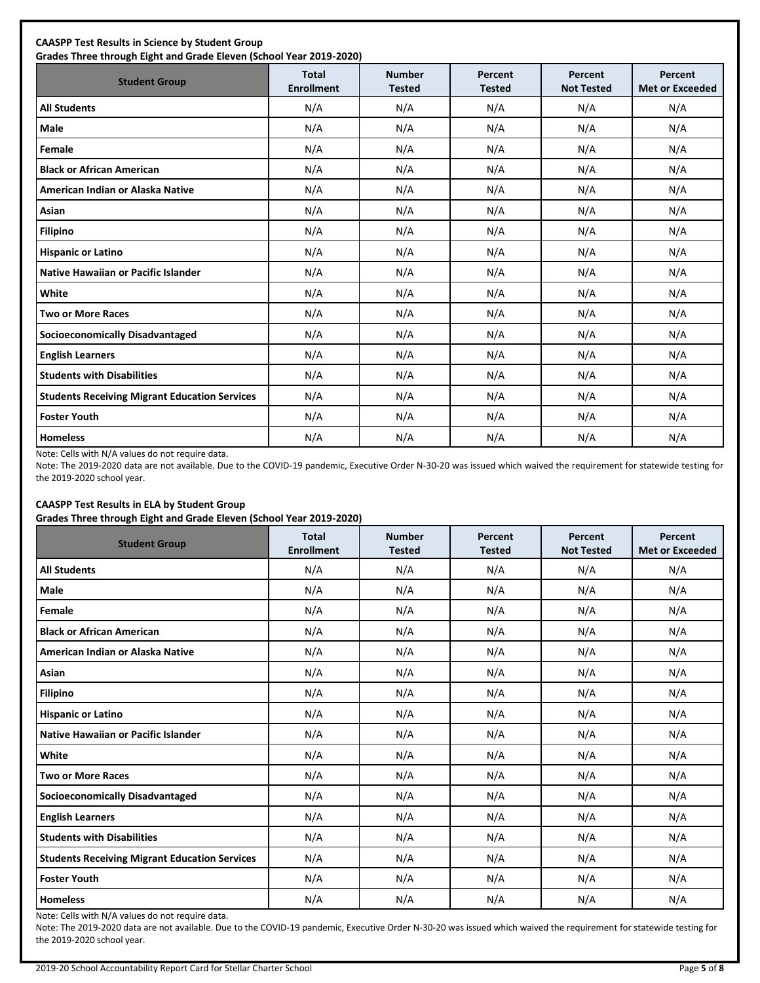| <b>Student Group</b>                                 | Total<br><b>Enrollment</b> | <b>Number</b><br><b>Tested</b> | Percent<br><b>Tested</b> | Percent<br><b>Not Tested</b> | Percent<br><b>Met or Exceeded</b> |
|------------------------------------------------------|----------------------------|--------------------------------|--------------------------|------------------------------|-----------------------------------|
| <b>All Students</b>                                  | N/A                        | N/A                            | N/A                      | N/A                          | N/A                               |
| Male                                                 | N/A                        | N/A                            | N/A                      | N/A                          | N/A                               |
| Female                                               | N/A                        | N/A                            | N/A                      | N/A                          | N/A                               |
| <b>Black or African American</b>                     | N/A                        | N/A                            | N/A                      | N/A                          | N/A                               |
| American Indian or Alaska Native                     | N/A                        | N/A                            | N/A                      | N/A                          | N/A                               |
| Asian                                                | N/A                        | N/A                            | N/A                      | N/A                          | N/A                               |
| <b>Filipino</b>                                      | N/A                        | N/A                            | N/A                      | N/A                          | N/A                               |
| <b>Hispanic or Latino</b>                            | N/A                        | N/A                            | N/A                      | N/A                          | N/A                               |
| Native Hawaiian or Pacific Islander                  | N/A                        | N/A                            | N/A                      | N/A                          | N/A                               |
| White                                                | N/A                        | N/A                            | N/A                      | N/A                          | N/A                               |
| <b>Two or More Races</b>                             | N/A                        | N/A                            | N/A                      | N/A                          | N/A                               |
| <b>Socioeconomically Disadvantaged</b>               | N/A                        | N/A                            | N/A                      | N/A                          | N/A                               |
| <b>English Learners</b>                              | N/A                        | N/A                            | N/A                      | N/A                          | N/A                               |
| <b>Students with Disabilities</b>                    | N/A                        | N/A                            | N/A                      | N/A                          | N/A                               |
| <b>Students Receiving Migrant Education Services</b> | N/A                        | N/A                            | N/A                      | N/A                          | N/A                               |
| <b>Foster Youth</b>                                  | N/A                        | N/A                            | N/A                      | N/A                          | N/A                               |
| <b>Homeless</b>                                      | N/A                        | N/A                            | N/A                      | N/A                          | N/A                               |

Note: Cells with N/A values do not require data.

Note: The 2019-2020 data are not available. Due to the COVID-19 pandemic, Executive Order N-30-20 was issued which waived the requirement for statewide testing for the 2019-2020 school year.

## **CAASPP Test Results in ELA by Student Group**

**Grades Three through Eight and Grade Eleven (School Year 2019-2020)**

| <b>Student Group</b>                                 | <b>Total</b><br><b>Enrollment</b> | <b>Number</b><br><b>Tested</b> | Percent<br><b>Tested</b> | Percent<br><b>Not Tested</b> | Percent<br><b>Met or Exceeded</b> |
|------------------------------------------------------|-----------------------------------|--------------------------------|--------------------------|------------------------------|-----------------------------------|
| <b>All Students</b>                                  | N/A                               | N/A                            | N/A                      | N/A                          | N/A                               |
| <b>Male</b>                                          | N/A                               | N/A                            | N/A                      | N/A                          | N/A                               |
| Female                                               | N/A                               | N/A                            | N/A                      | N/A                          | N/A                               |
| <b>Black or African American</b>                     | N/A                               | N/A                            | N/A                      | N/A                          | N/A                               |
| American Indian or Alaska Native                     | N/A                               | N/A                            | N/A                      | N/A                          | N/A                               |
| Asian                                                | N/A                               | N/A                            | N/A                      | N/A                          | N/A                               |
| <b>Filipino</b>                                      | N/A                               | N/A                            | N/A                      | N/A                          | N/A                               |
| <b>Hispanic or Latino</b>                            | N/A                               | N/A                            | N/A                      | N/A                          | N/A                               |
| Native Hawaiian or Pacific Islander                  | N/A                               | N/A                            | N/A                      | N/A                          | N/A                               |
| White                                                | N/A                               | N/A                            | N/A                      | N/A                          | N/A                               |
| <b>Two or More Races</b>                             | N/A                               | N/A                            | N/A                      | N/A                          | N/A                               |
| <b>Socioeconomically Disadvantaged</b>               | N/A                               | N/A                            | N/A                      | N/A                          | N/A                               |
| <b>English Learners</b>                              | N/A                               | N/A                            | N/A                      | N/A                          | N/A                               |
| <b>Students with Disabilities</b>                    | N/A                               | N/A                            | N/A                      | N/A                          | N/A                               |
| <b>Students Receiving Migrant Education Services</b> | N/A                               | N/A                            | N/A                      | N/A                          | N/A                               |
| <b>Foster Youth</b>                                  | N/A                               | N/A                            | N/A                      | N/A                          | N/A                               |
| <b>Homeless</b>                                      | N/A                               | N/A                            | N/A                      | N/A                          | N/A                               |

Note: Cells with N/A values do not require data.

Note: The 2019-2020 data are not available. Due to the COVID-19 pandemic, Executive Order N-30-20 was issued which waived the requirement for statewide testing for the 2019-2020 school year.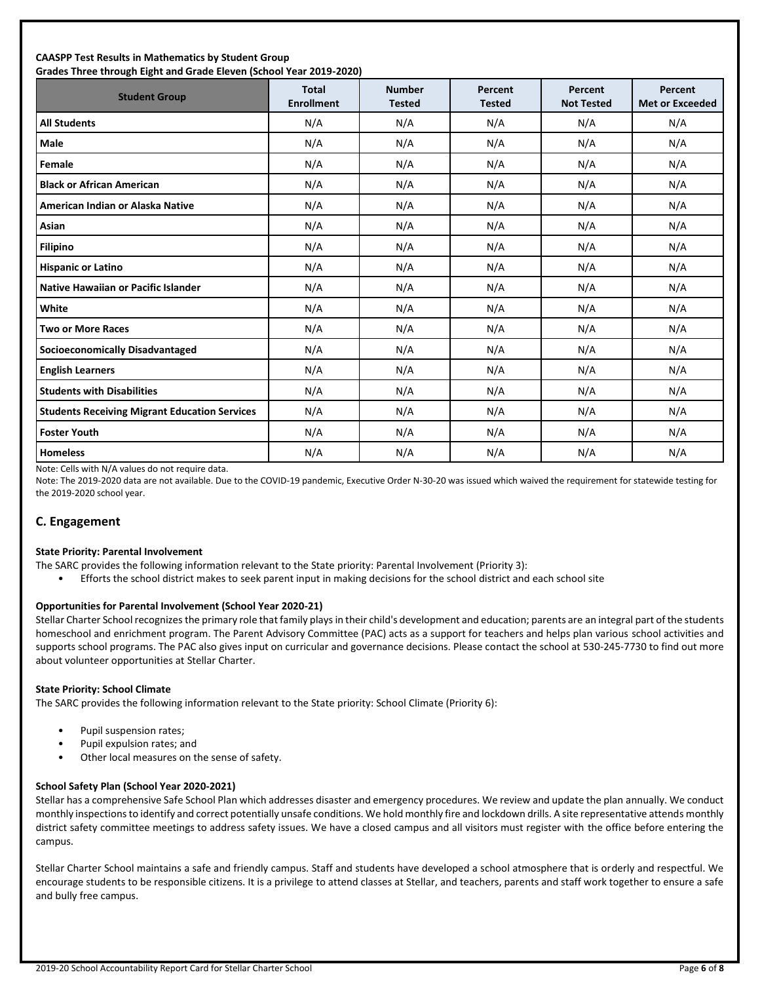#### **CAASPP Test Results in Mathematics by Student Group Grades Three through Eight and Grade Eleven (School Year 2019-2020)**

| andacs Timed through Eight and Grade Eleven (School Tear Euro Euco)<br><b>Student Group</b> | <b>Total</b><br><b>Enrollment</b> | <b>Number</b><br><b>Tested</b> | Percent<br><b>Tested</b> | Percent<br><b>Not Tested</b> | Percent<br><b>Met or Exceeded</b> |
|---------------------------------------------------------------------------------------------|-----------------------------------|--------------------------------|--------------------------|------------------------------|-----------------------------------|
| <b>All Students</b>                                                                         | N/A                               | N/A                            | N/A                      | N/A                          | N/A                               |
| <b>Male</b>                                                                                 | N/A                               | N/A                            | N/A                      | N/A                          | N/A                               |
| Female                                                                                      | N/A                               | N/A                            | N/A                      | N/A                          | N/A                               |
| <b>Black or African American</b>                                                            | N/A                               | N/A                            | N/A                      | N/A                          | N/A                               |
| American Indian or Alaska Native                                                            | N/A                               | N/A                            | N/A                      | N/A                          | N/A                               |
| Asian                                                                                       | N/A                               | N/A                            | N/A                      | N/A                          | N/A                               |
| <b>Filipino</b>                                                                             | N/A                               | N/A                            | N/A                      | N/A                          | N/A                               |
| <b>Hispanic or Latino</b>                                                                   | N/A                               | N/A                            | N/A                      | N/A                          | N/A                               |
| <b>Native Hawaiian or Pacific Islander</b>                                                  | N/A                               | N/A                            | N/A                      | N/A                          | N/A                               |
| White                                                                                       | N/A                               | N/A                            | N/A                      | N/A                          | N/A                               |
| <b>Two or More Races</b>                                                                    | N/A                               | N/A                            | N/A                      | N/A                          | N/A                               |
| <b>Socioeconomically Disadvantaged</b>                                                      | N/A                               | N/A                            | N/A                      | N/A                          | N/A                               |
| <b>English Learners</b>                                                                     | N/A                               | N/A                            | N/A                      | N/A                          | N/A                               |
| <b>Students with Disabilities</b>                                                           | N/A                               | N/A                            | N/A                      | N/A                          | N/A                               |
| <b>Students Receiving Migrant Education Services</b>                                        | N/A                               | N/A                            | N/A                      | N/A                          | N/A                               |
| <b>Foster Youth</b>                                                                         | N/A                               | N/A                            | N/A                      | N/A                          | N/A                               |
| <b>Homeless</b>                                                                             | N/A                               | N/A                            | N/A                      | N/A                          | N/A                               |

Note: Cells with N/A values do not require data.

Note: The 2019-2020 data are not available. Due to the COVID-19 pandemic, Executive Order N-30-20 was issued which waived the requirement for statewide testing for the 2019-2020 school year.

## **C. Engagement**

#### **State Priority: Parental Involvement**

- The SARC provides the following information relevant to the State priority: Parental Involvement (Priority 3):
	- Efforts the school district makes to seek parent input in making decisions for the school district and each school site

#### **Opportunities for Parental Involvement (School Year 2020-21)**

Stellar Charter School recognizes the primary role that family plays in their child's development and education; parents are an integral part of the students homeschool and enrichment program. The Parent Advisory Committee (PAC) acts as a support for teachers and helps plan various school activities and supports school programs. The PAC also gives input on curricular and governance decisions. Please contact the school at 530-245-7730 to find out more about volunteer opportunities at Stellar Charter.

#### **State Priority: School Climate**

The SARC provides the following information relevant to the State priority: School Climate (Priority 6):

- Pupil suspension rates;
- Pupil expulsion rates; and
- Other local measures on the sense of safety.

## **School Safety Plan (School Year 2020-2021)**

Stellar has a comprehensive Safe School Plan which addresses disaster and emergency procedures. We review and update the plan annually. We conduct monthly inspections to identify and correct potentially unsafe conditions. We hold monthly fire and lockdown drills. A site representative attends monthly district safety committee meetings to address safety issues. We have a closed campus and all visitors must register with the office before entering the campus.

Stellar Charter School maintains a safe and friendly campus. Staff and students have developed a school atmosphere that is orderly and respectful. We encourage students to be responsible citizens. It is a privilege to attend classes at Stellar, and teachers, parents and staff work together to ensure a safe and bully free campus.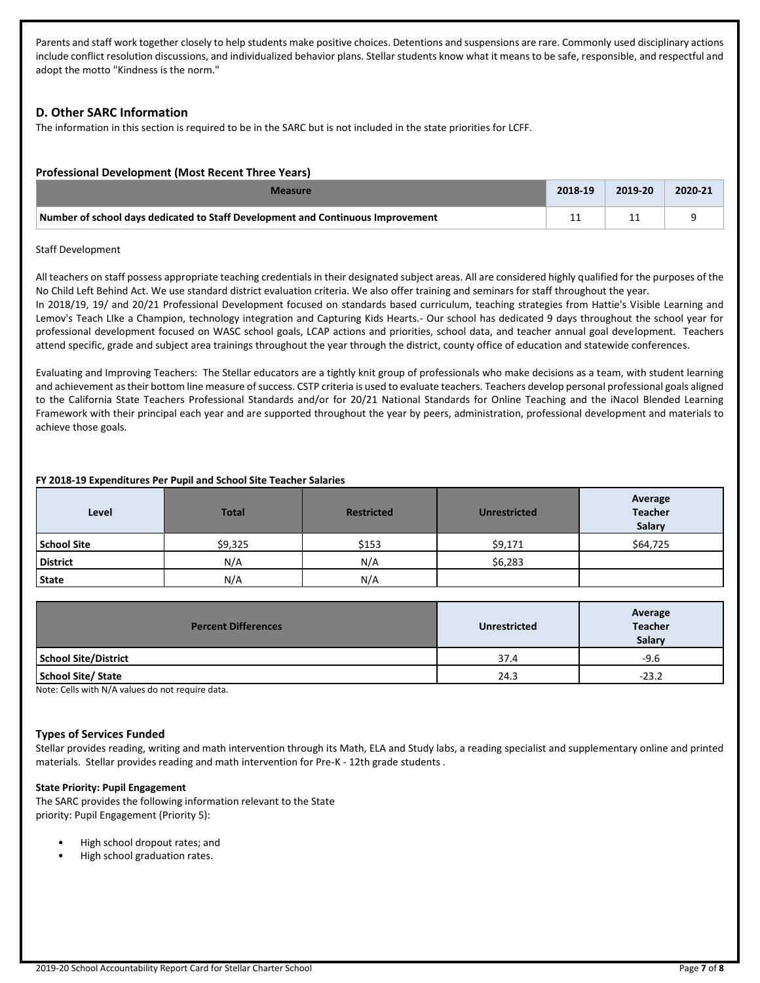Parents and staff work together closely to help students make positive choices. Detentions and suspensions are rare. Commonly used disciplinary actions include conflict resolution discussions, and individualized behavior plans. Stellar students know what it means to be safe, responsible, and respectful and adopt the motto "Kindness is the norm."

## **D. Other SARC Information**

The information in this section is required to be in the SARC but is not included in the state priorities for LCFF.

## **Professional Development (Most Recent Three Years)**

| Measure                                                                         |    | 2019-20 | 2020-21 |
|---------------------------------------------------------------------------------|----|---------|---------|
| Number of school days dedicated to Staff Development and Continuous Improvement | -- |         |         |

#### Staff Development

All teachers on staff possess appropriate teaching credentials in their designated subject areas. All are considered highly qualified for the purposes of the No Child Left Behind Act. We use standard district evaluation criteria. We also offer training and seminars for staff throughout the year. In 2018/19, 19/ and 20/21 Professional Development focused on standards based curriculum, teaching strategies from Hattie's Visible Learning and Lemov's Teach LIke a Champion, technology integration and Capturing Kids Hearts.- Our school has dedicated 9 days throughout the school year for professional development focused on WASC school goals, LCAP actions and priorities, school data, and teacher annual goal development. Teachers attend specific, grade and subject area trainings throughout the year through the district, county office of education and statewide conferences.

Evaluating and Improving Teachers: The Stellar educators are a tightly knit group of professionals who make decisions as a team, with student learning and achievement as their bottom line measure of success. CSTP criteria is used to evaluate teachers. Teachers develop personal professional goals aligned to the California State Teachers Professional Standards and/or for 20/21 National Standards for Online Teaching and the iNacol Blended Learning Framework with their principal each year and are supported throughout the year by peers, administration, professional development and materials to achieve those goals.

#### **FY 2018-19 Expenditures Per Pupil and School Site Teacher Salaries**

| Level              | <b>Total</b> | <b>Restricted</b> | <b>Unrestricted</b> | Average<br><b>Teacher</b><br><b>Salary</b> |
|--------------------|--------------|-------------------|---------------------|--------------------------------------------|
| <b>School Site</b> | \$9,325      | \$153             | \$9,171             | \$64,725                                   |
| <b>District</b>    | N/A          | N/A               | \$6,283             |                                            |
| <b>State</b>       | N/A          | N/A               |                     |                                            |

| <b>Percent Differences</b>  | <b>Unrestricted</b> | Average<br><b>Teacher</b><br>Salary |
|-----------------------------|---------------------|-------------------------------------|
| <b>School Site/District</b> | 37.4                | $-9.6$                              |
| <b>School Site/ State</b>   | 24.3                | $-23.2$                             |

Note: Cells with N/A values do not require data.

#### **Types of Services Funded**

Stellar provides reading, writing and math intervention through its Math, ELA and Study labs, a reading specialist and supplementary online and printed materials. Stellar provides reading and math intervention for Pre-K - 12th grade students .

#### **State Priority: Pupil Engagement**

The SARC provides the following information relevant to the State priority: Pupil Engagement (Priority 5):

- High school dropout rates; and
- High school graduation rates.